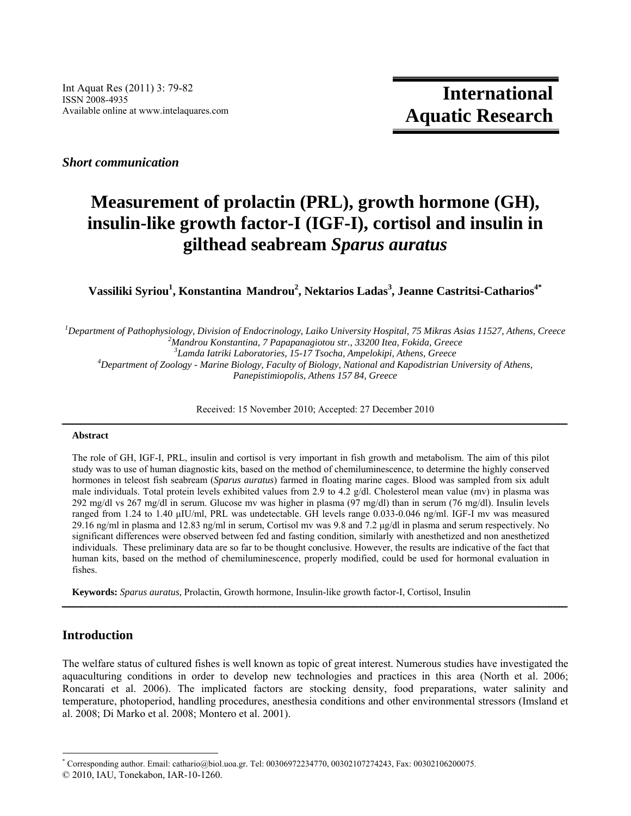*Short communication* 

## **Measurement of prolactin (PRL), growth hormone (GH), insulin-like growth factor-I (IGF-I), cortisol and insulin in gilthead seabream** *Sparus auratus*

 $V$ assiliki Syriou<sup>1</sup>, Konstantina Mandrou<sup>2</sup>, Nektarios Ladas<sup>3</sup>, Jeanne Castritsi-Catharios<sup>4\*</sup>

<sup>1</sup> Department of Pathophysiology, Division of Endocrinology, Laiko University Hospital, 75 Mikras Asias 11527, Athens, Creece <sup>2</sup> Mandrou Konstanting, 7 Banananggiotou str. 33200 Itag, Eckida, Creece *Mandrou Konstantina, 7 Papapanagiotou str., 33200 Itea, Fokida, Greece*  <sup>3</sup>Lamda Iatriki Laboratories, 15-17 Tsocha, Ampelokipi, Athens, Greece <sup>4</sup> Department of Zoology, Marine Biology, Faculty of Biology, National and Kapodistrian U *Department of Zoology - Marine Biology, Faculty of Biology, National and Kapodistrian University of Athens, Panepistimiopolis, Athens 157 84, Greece* 

Received: 15 November 2010; Accepted: 27 December 2010

# **Abstract** ــــــــــــــــــــــــــــــــــــــــــــــــــــــــــــــــــــــــــــــــــــــــــــــــــــــــــــــــــــــــــــــــــــــــــــــــــــــــــــــــــــــــــــــــــــــــــــ

The role of GH, IGF-I, PRL, insulin and cortisol is very important in fish growth and metabolism. The aim of this pilot study was to use of human diagnostic kits, based on the method of chemiluminescence, to determine the highly conserved hormones in teleost fish seabream (*Sparus auratus*) farmed in floating marine cages. Blood was sampled from six adult male individuals. Total protein levels exhibited values from 2.9 to 4.2 g/dl. Cholesterol mean value (mv) in plasma was 292 mg/dl vs 267 mg/dl in serum. Glucose mv was higher in plasma (97 mg/dl) than in serum (76 mg/dl). Insulin levels ranged from 1.24 to 1.40 μIU/ml, PRL was undetectable. GH levels range 0.033-0.046 ng/ml. IGF-I mv was measured 29.16 ng/ml in plasma and 12.83 ng/ml in serum, Cortisol mv was 9.8 and 7.2 μg/dl in plasma and serum respectively. No significant differences were observed between fed and fasting condition, similarly with anesthetized and non anesthetized individuals. These preliminary data are so far to be thought conclusive. However, the results are indicative of the fact that human kits, based on the method of chemiluminescence, properly modified, could be used for hormonal evaluation in fishes.

**Keywords:** *Sparus auratus,* Prolactin, Growth hormone, Insulin-like growth factor-I, Cortisol, Insulin

### **Introduction**

The welfare status of cultured fishes is well known as topic of great interest. Numerous studies have investigated the aquaculturing conditions in order to develop new technologies and practices in this area (North et al. 2006; Roncarati et al. 2006). The implicated factors are stocking density, food preparations, water salinity and temperature, photoperiod, handling procedures, anesthesia conditions and other environmental stressors (Imsland et al. 2008; Di Marko et al. 2008; Montero et al. 2001).

ــــــــــــــــــــــــــــــــــــــــــــــــــــــــــــــــــــــــــــــــــــــــــــــــــــــــــــــــــــــــــــــــــــــــــــــــــــــــــــــــــــــــــــــــــــــــــــ

 $\overline{a}$ \* Corresponding author. Email: cathario@biol.uoa.gr*.* Tel: 00306972234770, 00302107274243, Fax: 00302106200075. © 2010, IAU, Tonekabon, IAR-10-1260.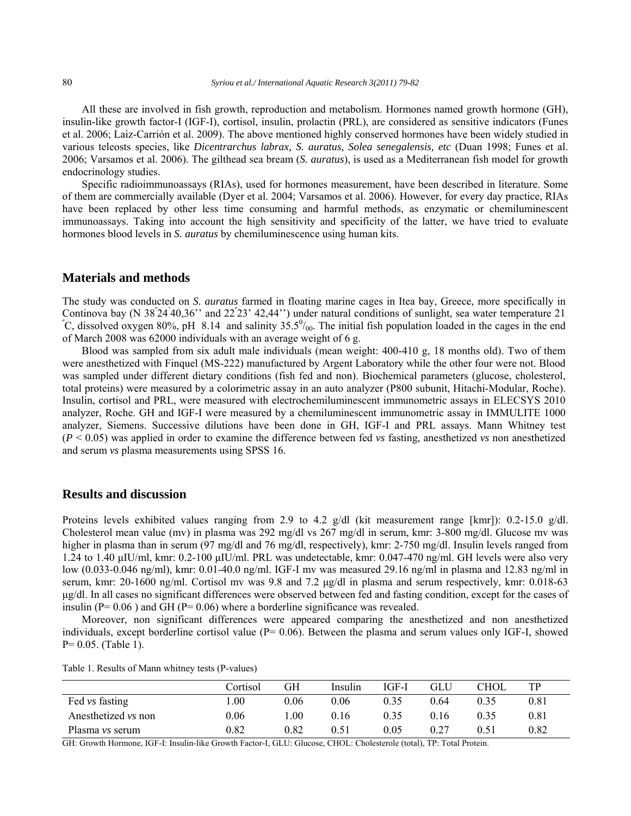All these are involved in fish growth, reproduction and metabolism. Hormones named growth hormone (GH), insulin-like growth factor-I (IGF-I), cortisol, insulin, prolactin (PRL), are considered as sensitive indicators (Funes et al. 2006; Laiz-Carrión et al. 2009). The above mentioned highly conserved hormones have been widely studied in various teleosts species, like *Dicentrarchus labrax, S. auratus, Solea senegalensis, etc* (Duan 1998; Funes et al. 2006; Varsamos et al. 2006). The gilthead sea bream (*S. auratus*), is used as a Mediterranean fish model for growth endocrinology studies.

Specific radioimmunoassays (RIAs), used for hormones measurement, have been described in literature. Some of them are commercially available (Dyer et al. 2004; Varsamos et al. 2006). However, for every day practice, RIAs have been replaced by other less time consuming and harmful methods, as enzymatic or chemiluminescent immunoassays. Taking into account the high sensitivity and specificity of the latter, we have tried to evaluate hormones blood levels in *S. auratus* by chemiluminescence using human kits.

#### **Materials and methods**

The study was conducted on *S. auratus* farmed in floating marine cages in Itea bay, Greece, more specifically in Continova bay (N 38°24'40,36'' and 22°23' 42,44'') under natural conditions of sunlight, sea water temperature 21<br>
<sup>•</sup>C discolved aways 80%, pH, 8.14, and salinity 25.5%, The initial fish napulation loaded in the gazes in C, dissolved oxygen 80%, pH 8.14 and salinity  $35.5^{\circ}/_{00}$ . The initial fish population loaded in the cages in the end of March 2008 was 62000 individuals with an average weight of 6 g.

Blood was sampled from six adult male individuals (mean weight: 400-410 g, 18 months old). Two of them were anesthetized with Finquel (MS-222) manufactured by Argent Laboratory while the other four were not. Blood was sampled under different dietary conditions (fish fed and non). Biochemical parameters (glucose, cholesterol, total proteins) were measured by a colorimetric assay in an auto analyzer (P800 subunit, Hitachi-Modular, Roche). Insulin, cortisol and PRL, were measured with electrochemiluminescent immunometric assays in ELECSYS 2010 analyzer, Roche. GH and IGF-I were measured by a chemiluminescent immunometric assay in IMMULITE 1000 analyzer, Siemens. Successive dilutions have been done in GH, IGF-I and PRL assays. Mann Whitney test (*P* < 0.05) was applied in order to examine the difference between fed *vs* fasting, anesthetized *vs* non anesthetized and serum *vs* plasma measurements using SPSS 16.

#### **Results and discussion**

Proteins levels exhibited values ranging from 2.9 to 4.2 g/dl (kit measurement range [kmr]): 0.2-15.0 g/dl. Cholesterol mean value (mv) in plasma was 292 mg/dl vs 267 mg/dl in serum, kmr: 3-800 mg/dl. Glucose mv was higher in plasma than in serum (97 mg/dl and 76 mg/dl, respectively), kmr: 2-750 mg/dl. Insulin levels ranged from 1.24 to 1.40 μIU/ml, kmr: 0.2-100 μIU/ml. PRL was undetectable, kmr: 0.047-470 ng/ml. GH levels were also very low (0.033-0.046 ng/ml), kmr: 0.01-40.0 ng/ml. IGF-I mv was measured 29.16 ng/ml in plasma and 12.83 ng/ml in serum, kmr: 20-1600 ng/ml. Cortisol mv was 9.8 and 7.2 μg/dl in plasma and serum respectively, kmr: 0.018-63 μg/dl. In all cases no significant differences were observed between fed and fasting condition, except for the cases of insulin ( $P= 0.06$ ) and GH ( $P= 0.06$ ) where a borderline significance was revealed.

Moreover, non significant differences were appeared comparing the anesthetized and non anesthetized individuals, except borderline cortisol value (P= 0.06). Between the plasma and serum values only IGF-I, showed  $P= 0.05$ . (Table 1).

|                        | Cortisol   | GН   | Insulin | $IGF-I$ | <b>GLU</b> | <b>CHOL</b> | TР   |
|------------------------|------------|------|---------|---------|------------|-------------|------|
| Fed vs fasting         | .00.       | 0.06 | 0.06    | 0.35    | 0.64       | 0.35        | 0.81 |
| Anesthetized vs non    | 0.06       | 00.  | 0.16    | 0.35    | 0.16       | 0.35        | 0.81 |
| Plasma <i>vs</i> serum | $\rm 0.82$ | 0.82 | 0.51    | 0.05    | 0.27       | 0.51        | 0.82 |

GH: Growth Hormone, IGF-I: Insulin-like Growth Factor-I, GLU: Glucose, CHOL: Cholesterole (total), TP: Total Protein.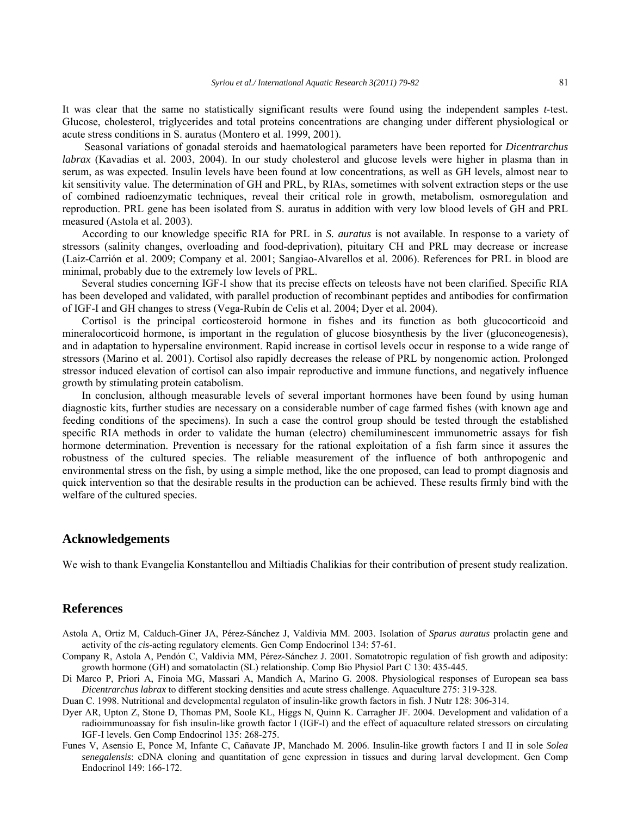It was clear that the same no statistically significant results were found using the independent samples *t*-test. Glucose, cholesterol, triglycerides and total proteins concentrations are changing under different physiological or acute stress conditions in S. auratus (Montero et al. 1999, 2001).

 Seasonal variations of gonadal steroids and haematological parameters have been reported for *Dicentrarchus labrax* (Kavadias et al. 2003, 2004). In our study cholesterol and glucose levels were higher in plasma than in serum, as was expected. Insulin levels have been found at low concentrations, as well as GH levels, almost near to kit sensitivity value. The determination of GH and PRL, by RIAs, sometimes with solvent extraction steps or the use of combined radioenzymatic techniques, reveal their critical role in growth, metabolism, osmoregulation and reproduction. PRL gene has been isolated from S. auratus in addition with very low blood levels of GH and PRL measured (Astola et al. 2003).

According to our knowledge specific RIA for PRL in *S. auratus* is not available. In response to a variety of stressors (salinity changes, overloading and food-deprivation), pituitary CH and PRL may decrease or increase (Laiz-Carrión et al. 2009; Company et al. 2001; Sangiao-Alvarellos et al. 2006). References for PRL in blood are minimal, probably due to the extremely low levels of PRL.

Several studies concerning IGF-I show that its precise effects on teleosts have not been clarified. Specific RIA has been developed and validated, with parallel production of recombinant peptides and antibodies for confirmation of IGF-I and GH changes to stress (Vega-Rubín de Celis et al. 2004; Dyer et al. 2004).

Cortisol is the principal corticosteroid hormone in fishes and its function as both glucocorticoid and mineralocorticoid hormone, is important in the regulation of glucose biosynthesis by the liver (gluconeogenesis), and in adaptation to hypersaline environment. Rapid increase in cortisol levels occur in response to a wide range of stressors (Marino et al. 2001). Cortisol also rapidly decreases the release of PRL by nongenomic action. Prolonged stressor induced elevation of cortisol can also impair reproductive and immune functions, and negatively influence growth by stimulating protein catabolism.

In conclusion, although measurable levels of several important hormones have been found by using human diagnostic kits, further studies are necessary on a considerable number of cage farmed fishes (with known age and feeding conditions of the specimens). In such a case the control group should be tested through the established specific RIA methods in order to validate the human (electro) chemiluminescent immunometric assays for fish hormone determination. Prevention is necessary for the rational exploitation of a fish farm since it assures the robustness of the cultured species. The reliable measurement of the influence of both anthropogenic and environmental stress on the fish, by using a simple method, like the one proposed, can lead to prompt diagnosis and quick intervention so that the desirable results in the production can be achieved. These results firmly bind with the welfare of the cultured species.

#### **Acknowledgements**

We wish to thank Evangelia Konstantellou and Miltiadis Chalikias for their contribution of present study realization.

#### **References**

- Astola A, Ortiz M, Calduch-Giner JA, Pérez-Sánchez J, Valdivia MM. 2003. Isolation of *Sparus auratus* prolactin gene and activity of the *cis*-acting regulatory elements. Gen Comp Endocrinol 134: 57-61.
- Company R, Astola A, Pendón C, Valdivia MM, Pérez-Sánchez J. 2001. Somatotropic regulation of fish growth and adiposity: growth hormone (GH) and somatolactin (SL) relationship. Comp Bio Physiol Part C 130: 435-445.
- Di Marco P, Priori A, Finoia MG, Massari A, Mandich A, Marino G. 2008. Physiological responses of European sea bass *Dicentrarchus labrax* to different stocking densities and acute stress challenge. Aquaculture 275: 319-328.

Duan C. 1998. Nutritional and developmental regulaton of insulin-like growth factors in fish. J Nutr 128: 306-314.

- Dyer AR, Upton Z, Stone D, Thomas PM, Soole KL, Higgs N, Quinn K. Carragher JF. 2004. Development and validation of a radioimmunoassay for fish insulin-like growth factor I (IGF-I) and the effect of aquaculture related stressors on circulating IGF-I levels. Gen Comp Endocrinol 135: 268-275.
- Funes V, Asensio E, Ponce M, Infante C, Cañavate JP, Manchado M. 2006. Insulin-like growth factors I and II in sole *Solea senegalensis*: cDNA cloning and quantitation of gene expression in tissues and during larval development. Gen Comp Endocrinol 149: 166-172.